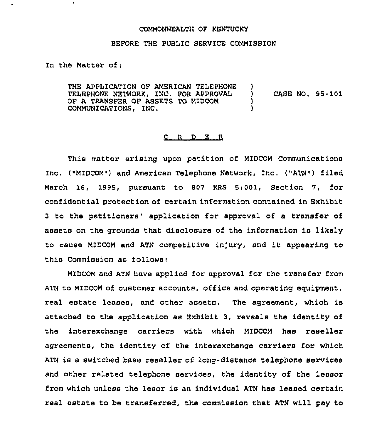## COMMONWEALTH OF KENTUCKy

## BEFORE THE PUBLIC SERVICE COMMISSION

In the Matter of:

 $\blacksquare$ 

THE APPLICATION OF AMERICAN TELEPHONE )<br>TELEPHONE NETWORK. INC. FOR APPROVAL ) TELEPHONE NETWORK, INC. FOR APPROVAL (CASE NO. 95-101)<br>OF A TRANSFER OF ASSETS TO MIDCOM OF A TRANSFER OF ASSETS TO MIDCOM (1) COMMUNICATIONS, INC. )

## $Q$  R  $D$  E R

This matter arising upon petition of MIDCOM Communications Inc. ("MIDCOM") and American Telephone Network, Inc. ("ATN") filed March 16, 1995, pursuant to 807 KRS 5i001, Section 7, for confidential protection of certain information contained in Exhibit 3 to the petitioners' application for approval of a transfer of assets on the grounds that disclosure of the information is likely to cause MIDCOM and ATN competitive injury, and it appearing to this Commission as follows:

MIDCOM and ATN have applied for approval for the transfer from ATN to MIDCOM of customer accounts, office and operating equipment, real estate leases, and other assets. The agreement, which is attached to the application as Exhibit 3, reveals the identity of the interexchange carriers with which MIDCOM has reseller agreements, the identity of the interexchange carriers for which ATN is a switched base reseller of long-distance telephone services and other related telephone services, the identity of the lessor from which unless the lesor is an individual ATN has leased certain real estate to be transferred, the commission that ATN will pay to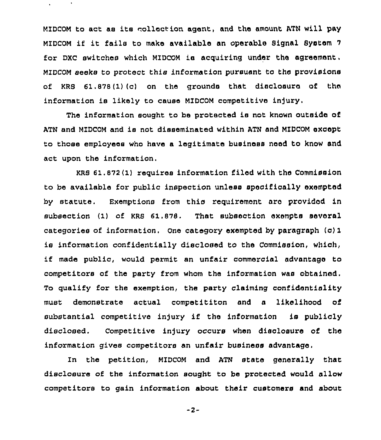MIDCON to act ae its collection agent, and the amount ATM will pay MIDCON if it fails to make available an operable Signal System <sup>7</sup> for DXC switches which MIDCOM ia acquiring under the agreement, MIDCOM seeks to protect this information pursuant to the provisions of KRS 61.878(1)(c) on the grounds that disclosure of the information is likely to cause NIDCOM competitive infury,

The information sought to be protected is not known outside of ATN and MIDCOM and is not disseminated within ATN and MIDCOM except to those employees who have a legitimate business need to know and act upon the information.

KRS 61.872 (1) requires information filed with the Commission to be available for public inspection unless specifically exempted by statute. Exemptions from this requirement nro provided in subsection (1) of KRS 61.878. That subsection exempts several categories of information. one category exempted by paragraph (c) 1 is information confidentially disclosed to the Commission, which, if made public, would permit an unfair commercial advantage to competitors of the party from whom the information was obtained, To qualify for the exemption, the party claiming confidentiality must demonstrate actual competititon and a likelihood of substantial competitive injury if the information is publicly disclosed. Competitive injury occurs when disclosure of the information gives competitors an unfair business advantage,

In the petition, MIDCOM and ATN state generally that disclosure of the information sought to be protected would allow competitors to gain information about their customers and about

 $-2-$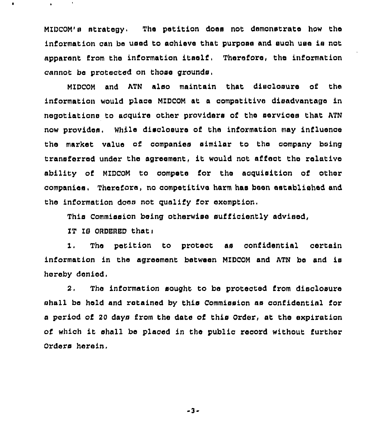MIDCOM's strategy. The petition does not demonstrate how the information can be used to achieve that purpose and such uae ia not apparent from the information itself, Therefore, the information cannot be protected on those grounds,

MZDCOM and ATN also maintain that disoloauxe of the information would place MIDCOM at a competitive disadvantage in negotiations to acquire other providers of the services that ATN now provides. While disclosure of the information may influence the market value of companies similar to the company being transferred under the agreement, it would not affect the relative ability of MIDCDM to compete for the acguisition of other companies. Therefore, no competitive harm has been established and the information does not gualify for exemption.

This Commission being otherwise sufficiently advised,

IT IS ORDERED that:

1. The petition to protect as confidential certain information in the agreement between MIDCOM and ATN be and is hereby denied.

2, The information sought to be protected from disclosure shall be held and retained by this Commission as confidential for a period of 20 days from the date of this Order, at the expiration of which it shall be placed in the public record without further Orders herein.

3-